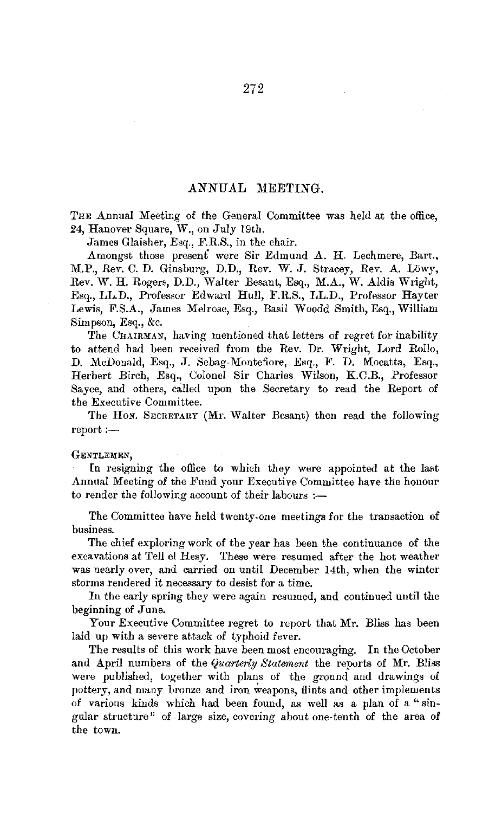### ANNUAL MEETING.

THE Annual Meeting of the General Committee was held at the office, *24,* Hanover Square, W., on July 19th.

James Glaisher, Esq., F.R.S., in the chair.

Amongst those present were Sir Edmund A. H. Lechmere, Bart., M.P., Rev. C. D. Ginsburg, D.D., Rev. W. J. Stracey, Rev. A. Lowy, Rev. W. H. Rogers, D.D., Walter Besant, Esq., M.A., W. Aldis Wright, Esq., LL.D., Professor Edward Hull, F.RS., LL.D., Professor Hayter Lewis, F.S.A., James Melrose, Esq., Basil Woodd Smith, Esq., William Simpson, Esq., &c.

The CHAIRMAN, having mentioned that letters of regret for inability to attend had been received from the Rev. Dr. Wright, Lord Rollo, D. McDonald, Esq., J. Sebag-Montefiore, Esq., F. D. Mocatta, Esq., Herbert Birch, Esq., Colonel Sir Charles Wilson, K.C.B., Professor Sayce, and others, called upon the Secretary to read the Report of the Executive Committee.

The HoN. SECRETARY (Mr. Walter Besant) then read the following report:-

#### GENTLEMEN,

In resigning the office to which they were appointed at the last Annual Meeting of the Fund your Executive Committee have the honour to render the following account of their labours  $:$ 

The Committee have held twenty-one meetings for the transaction of business.

The chief exploring work of the year has been the continuance of the excavations at Tell el Hesy. These were resumed after the hot weather was nearly over, and carried on until December 14th, when the winter storms rendered it necessary to desist for a time.

In the early spring they were again resumed, and continued until the beginning of June.

Your Executive Committee regret to report that Mr. Bliss has been laid up with a severe attack of typhoid fever.

The results of this work have been most encouraging. In the October and April numbers of the *Quarterly Statement* the reports of Mr. Bliss were published, together with plans of the ground aud drawings of pottery, and many bronze and iron weapons, flints and other implements of various kinds which had been found, as well as a plan of a " singular structure" of large size, covering about one-tenth of the area of the town.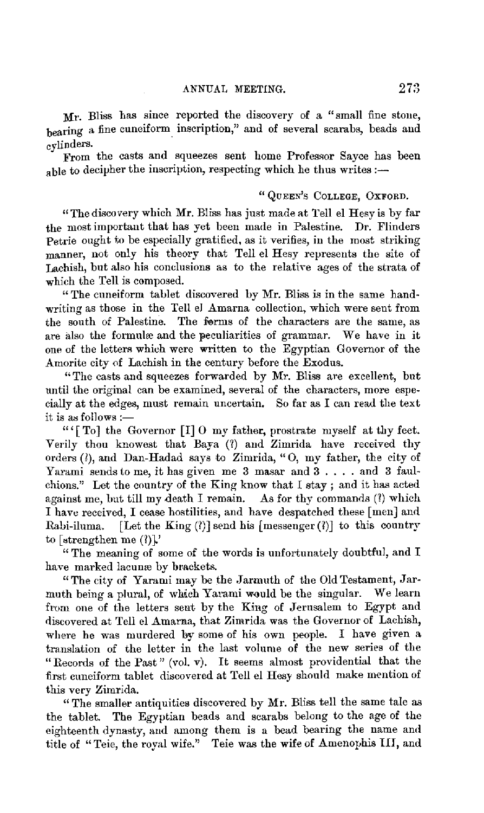Mr. Bliss has since reported the discovery of a "small fine stone, bearing a fine cuneiform\_ inscription," and of several scarabs, beads and cylinders.

From the casts and squeezes sent home Professor Sayce has been able to decipher the inscription, respecting which he thus writes :-

## " QUEEN'S COLLEGE, OXFORD.

"The discovery which **Mr.** Bliss has just made at Tell el Hesy is by far the most important that has yet been made in Palestine. Dr. Flinders Petrie ought to be especially gratified, as it verifies, in the most striking manner, not only his theory that Tell el Hesy represents the site of Lachish, but also his conclusions as to the relative ages of the strata of which the Tell is composed.

"The cuneiform tablet discovered by Mr. Bliss is in the same handwriting as those in the Tell el Amarna collection, which were sent from the south of Palestine. The forms of the characters are the same, as are also the formulæ and the peculiarities of grammar. We have in it one of the letters which were written to the Egyptian Governor of the Amorite city of Lachish in the century before the Exodus.

"The casts and squeezes forwarded by Mr. Bliss are excellent, but until the original can be examined, several of the characters, more especially at the edges, must remain uncertain. So far as I can read the text it is as follows :-

"' [To] the Governor [I] O my father, prostrate myself at thy feet. Verily thou knowest that Baya (?) and Zimrida have received thv orders (I), and Dan-Hadad says to Zimrida, "0, my father, the city of Yarami sends to me, it has given me 3 masar and 3... and 3 faulchions." Let the eountry of the King know that I stay ; and it has acted against me, but till my death I remain. As for thy commands  $(1)$  which I have received, I cease hostilities, and have despatched these [men] and Rabi-iluma. [Let the King  $(?)$ ] send his [messenger(?)] to this country to [strengthen me $(2)$ ].'

"The meaning of some of the words is unfortunately doubtful, and I have marked lacunæ by brackets.

"The city of Yarami may be the Jarmuth of the Old Testament, Jarmuth being a plural, of which Yarami would be the singular. We learn from one of the letters sent by the King of Jerusalem to Egypt and discovered at Tell el Amarma, that Zimrida was the Governor of Lachish, where he was murdered by some of his own people. I have given a translation of the letter in the last volume of the new series of the "Records of the Past" (vol. v). It seems almost providential that the first cuneiform tablet discovered at Tell el Hesy should make mention of this very Zimrida.

"The smaller antiquities discovered by Mr. Bliss tell the same tale as the tablet. The Egyptian beads and scarabs belong to the age of the eighteenth dynasty, and among them is a bead bearing the name and title of "Teie, the royal wife." Teie was the wife of Amenophis III, and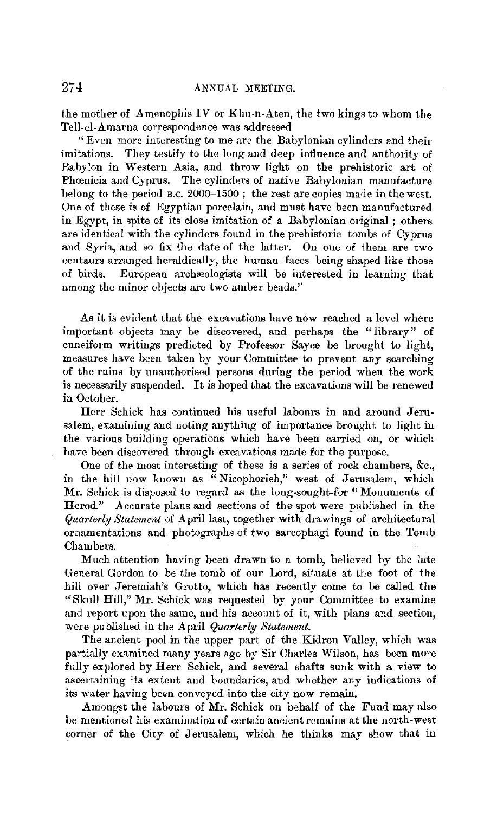the mother of Amenophis IV or Khu-u-Aten, the two kings to whom the Tell-el-Amarna correspondence was addressed

"Even more interesting to me are the Babylonian cylinders and their imitations. They testify to the long and deep influence and authority of Babylon in Western Asia, and throw light on the prehistoric art of Phcenicia and Cyprus. The cylinders of native Babylonian manufacture belong to the period B.c. 2000-1500; the rest are copies made in the west. One of these is of Egyptian porcelain, and must have been manufactured in Egypt, in spite of its close imitation of a Babylonian original ; others are identical with the cylinders found in the prehistoric tombs of Cyprus and Syria, and so fix the date of the latter. On one of them are two centaurs arranged heraldically, the human faces being shaped like those of birds. European archæologists will be interested in learning that among the minor objects are two amber beads.''

As it is evident that the excavations have now reached a level where important objects may be discovered, and perhaps the "library" of cuneiform writings predicted by Professor Sayce be brought to light, measures have been taken by your Committee to prevent any searching of the ruins by unauthorised persons during the period when the work is necessarily suspended. It is hoped that the excavations will be renewed in October.

Herr Schick has continued his useful labours in and around Jerusalem, examining and noting anything of importance brought to light in the various building operations which have been carried on, or which have been discovered through excavations made for the purpose.

One of the most interesting of these is a series of rock chambers, &c., in the hill now known as "Nicophorieh," west of Jerusalem, which Mr. Schick is disposed to regard as the long-sought-for "Monuments of Herod." Accurate plans aud sections of the spot were published in the *Quarterly Statement* of April last, together with drawings of architectural ornamentations and photograph3 of two sarcophagi found in the Tomb Chambers.

Much attention having been drawn to a tomb, believed by the late General Gordon to be the tomb of our Lord, situate at the foot **of** the hill over Jeremiah's Grotto, which has recently come to be called the "Skull Hill," Mr. Schick was requested by your Committee to examine and report upon the same, and his account of it, with plans and section, were published in the April *Quarterly Statement.* 

The ancient pool in the upper part of the Kidron Valley, which was partially examined many years ago by Sir Charles Wilson, has been more fully explored by Herr Schick, and several shafts sunk with a view to ascertaining its extent and boundaries, and whether any indications of its water having been conveyed into the city now remain.

Amongst the labours of Mr. Schick on behalf of the Fund may also be mentioned his examination of certain ancient remains at the north-west corner of the City of Jerusalem, which he thinks may show that in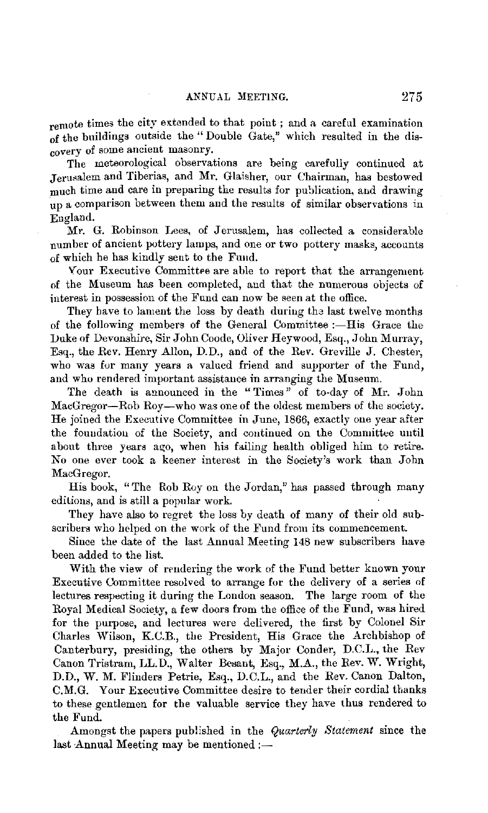remote times the city extended to that point; and a careful examination of the buildings outside the "Double Gate," which resulted in the discovery of some ancient masonry.

The meteorological observations are being carefully continued at Jerusalem and Tiberias, and Mr. Glaisher, our Chairman, has bestowed much time and care in preparing the results for publication, and drawing up a comparison between them and the results of similar observations in England.

Mr. G. Robinson Lees, of Jerusalem, has collected a considerable number of ancient pottery lamps, and one or two pottery masks, accounts of which he has kindly sent to the Fm1d.

Your Executive Committee are able to report that the arrangement of the Museum has been completed, and that the numerous objects of interest in possession of the Fund can now be seen at the office.

They have to lament the loss by death during the last twelve months of the following members of the General Committee :- His Grace the Duke of Devonshire, Sir John Coode, Oliver Heywood, Esq., John Murray, Esq., the Rev. Henry Allon, D.D., and of the Rev. Greville J. Chester, who was for many years a valued friend and supporter of the Fund, and who rendered important assistance in arranging the Museum.

The death is announced in the "Times" of to-day of Mr. John MacGregor-Rob Roy-who was one of the oldest members of the society. He joined the Executive Committee in June, 1866, exactly one year after the fouudation of the Society, and continued on the Committee until about three years ago, when his failing health obliged him to retire. No one ever took a keener interest in the Society's work than John MacGregor.

His book, "The Rob Roy on the Jordan," has passed through many editions, and is still a popular work

They have also to regret the loss by death of many of their old subscribers who helped on the work of the Fund from its commencement.

Since the date of the last Annual Meeting 148 new subscribers have been added to the list.

With the view of rendering the work of the Fund better known your Executive Committee resolved to arrange for the delivery of a series of lectures respecting it during the London season. The large room of the Royal Medical Society, a few doors from the office of the Fund, was hired for the purpose, and lectures were delivered, the first by Colonel Sir Charles Wilson, K.C.B., the President, His Grace the Archbishop of Canterbury, presiding, the others by Major Conder, D.C.L., the Rev Canon Tristram, LL.D., Walter Besant, Esq., M.A., the Rev. W. Wright, D.D., W. M. Flinders Petrie, Esq., D.C.L., and the Rev. Canon Dalton, C.M.G. Your Executive Committee desire to tender their cordial thanks to these gentlemen for the valuable service they have thus rendered to the Fund.

Amongst the papers published in the *Quarterly Statement* since the last Annual Meeting may be mentioned  $:$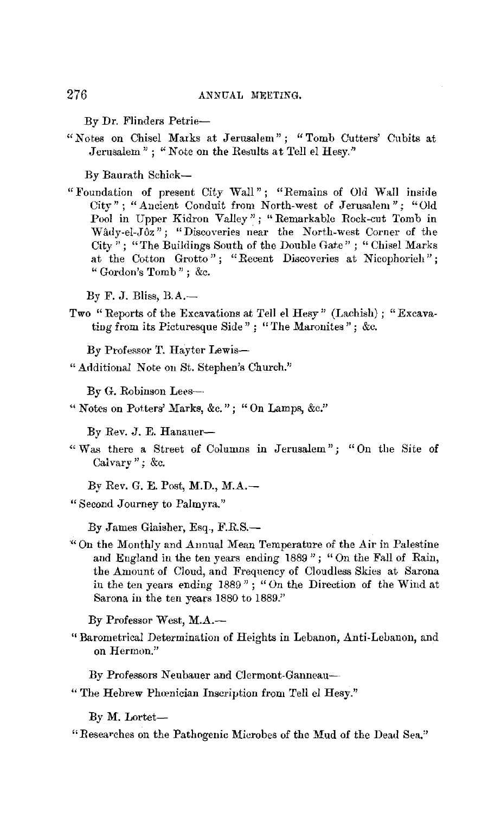By Dr. Flinders Petrie-

" Notes on Chisel Marks at Jerusalem" ; "Tomb Cutters' Cubits at Jerusalem " ; " Note on the Results at Tell el Hesy."

By Baurath Schick-

" Foundation of present City Wall" ; "Remains of Old Wall inside City"; "Ancient Conduit from North-west of Jerusalem"; "Old Pool in Upper Kidron Valley"; "Remarkable Rock-cut Tomb in Wâdy-el-Jôz"; "Discoveries near the North-west Corner of the City": "The Buildings South of the Double Gate": "Chisel Marks at the Cotton Grotto"; "Recent Discoveries at Nicophorieh"; " Gordon's Tomb" ; &c.

By F. J. Bliss, B.A.-

Two "Reports of the Excavations at Tell el Hesy" (Lachish) ; "Excavating from its Picturesque Side" ; "The Maronites"; &c.

By Professor T. Hayter Lewis-

" Additional Note on St. Stephen's Church."

By G. Robinson Lees--

" Notes on Potters' Marks, &c."; "On Lamps, &c."

By Rev. J. E. Hanauer-

" Was there a Street of Columns in Jerusalem"; "On the Site of Calvary"; &c.

By Rev. G. E. Post, M.D., M.A.-

" Second Journey to Palmyra."

By James Glaisher, Esq., F.R.S.-

" On the Monthly and Aunual Mean Temperature of the Air in Palestine and England in the ten years ending 1889 "; "On the Fall of Rain, the Amount of Cloud, and Frequency of Cloudless Skies at Sarona in the ten years ending 1889" ; "On the Direction of the Wind at Sarona in the ten years 1880 to 1889."

By Professor West, M.A.-

" Barometrical Determination of Heights in Lebanon, Anti-Lebanon, and on Hermon."

By Professors Neubauer and Clermont-Ganneau--

" The Hebrew Phoenician Inscription from Tell el Hesy."

By M. Lortet-

" Researches on the Pathogenic Microbes of the Mud of the Dead Sea."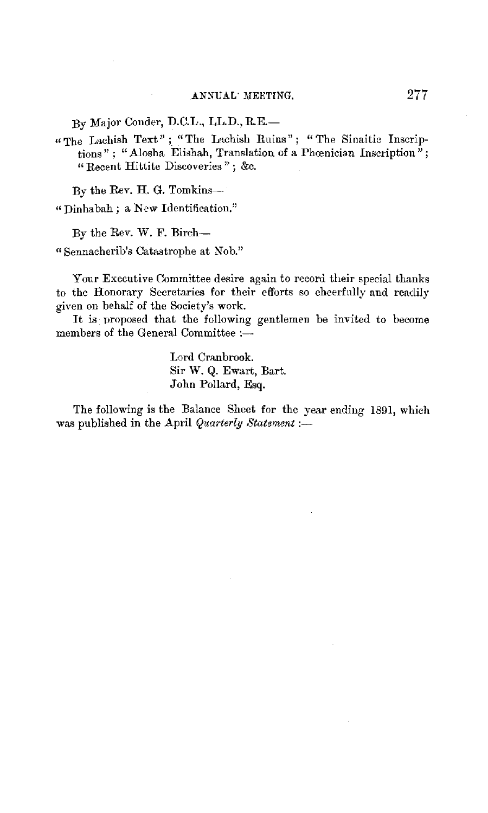By Major Conder, D.C.L., LL.D., RE.-

" The Lachish Text"; "The Lachish Ruins"; "The Sinaitic Inscriptions" ; "Alosha Elishah, Translation of a Phoenician Inscription"; "Recent Hittite Discoveries" ; &c.

By the Rev. H. G. Tomkins-

" Dinhabah; a New Identification."

By the Rev. W. F. Birch-

" Sennacherib's Catastrophe at Nob."

Your Executive Committee desire again to record their special thanks to the Honorary Secretaries for their efforts so cheerfully and readily given on behalf of the Society's work.

It is proposed that the following gentlemen be invited to become members of the General Committee :-

> Lord Cranbrook. Sir W. Q. Ewart, Bart. John Pollard, Esq.

The following is the Balance Sheet for the year ending 1891, which was published in the April *Quarterly Statement* :-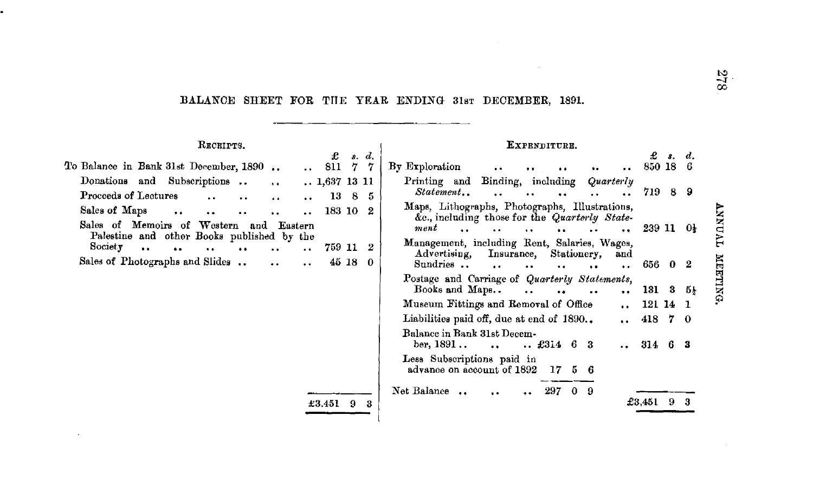# BALANCE SHEET FOR THE YEAR ENDING 31st DECEMBER, 1891.

| RECEIPTS.                                                                                                                                               |                                                    | EXPENDITURE.                                                                                                                                                                                                        |                        |         |
|---------------------------------------------------------------------------------------------------------------------------------------------------------|----------------------------------------------------|---------------------------------------------------------------------------------------------------------------------------------------------------------------------------------------------------------------------|------------------------|---------|
| To Balance in Bank 31st December, 1890                                                                                                                  | £<br>s. d.<br>7<br>811<br>-7                       | By Exploration<br>$\ddot{\phantom{a}}$<br>$\bullet$<br>                                                                                                                                                             | £<br>850 18 6          | s, d    |
| Subscriptions<br>Donations and<br>$\sim$ $\sim$<br>Proceeds of Lectures<br>$\ddot{\phantom{a}}$<br>$\ddot{\phantom{a}}$                                 | 1,637 13 11<br>13 8<br>- 5<br>$\ddot{\phantom{a}}$ | Binding, including<br>Printing and<br>Quarterly<br>Statement                                                                                                                                                        | 719 8 9                |         |
| Sales of Maps<br>$\bullet$ $\bullet$<br>$\ddot{\phantom{0}}$<br>$\ddot{\phantom{0}}$<br>Sales of Memoirs of Western and<br>Eastern                      | 183 10 2                                           | Maps, Lithographs, Photographs, Illustrations,<br>&c., including those for the Quarterly State-<br>ment                                                                                                             |                        | TVONNY  |
| Palestine and other Books published by the<br>Society<br>$\bullet$<br>$\ddot{\phantom{a}}$<br>$\bullet$<br>$\ddot{\phantom{a}}$<br>$\ddot{\phantom{a}}$ | 759 11 2<br>$\ddot{\phantom{a}}$                   | <b>SALE</b><br>$\mathbf{r}$ and $\mathbf{r}$ and $\mathbf{r}$ and $\mathbf{r}$<br>$\bullet$<br>$\ddot{\bullet}$<br>Management, including Rent, Salaries, Wages,<br>Insurance.<br>Stationery,<br>Advertising,<br>and | $23911$ $0\frac{1}{2}$ |         |
| Sales of Photographs and Slides.<br>$\ddot{\phantom{0}}$                                                                                                | $45\,18$<br>$\Omega$<br>$\ddot{\phantom{1}}$       | Sundries<br>$\sim$<br>$\ddot{\phantom{a}}$<br>$\sim$ $\sim$<br>Postage and Carriage of Quarterly Statements,                                                                                                        | 656 0 2                | MEETING |
|                                                                                                                                                         |                                                    | Books and Maps<br>$\sim$ $\sim$<br>$\bullet$<br>$\ddot{\phantom{a}}$                                                                                                                                                | $\ldots$ 131 3 5       |         |
|                                                                                                                                                         |                                                    | Museum Fittings and Removal of Office                                                                                                                                                                               | $\ldots$ 121 14 1      |         |
|                                                                                                                                                         |                                                    | Liabilities paid off, due at end of 1890<br>$\bullet$ $\bullet$                                                                                                                                                     | 418 7 0                |         |
|                                                                                                                                                         |                                                    | Balance in Bank 31st Decem-<br>ber, $1891$<br>$$ £314 6 3<br><b>Contract Contract Contract</b>                                                                                                                      | $\ldots$ 314 6 3       |         |
|                                                                                                                                                         |                                                    | Less Subscriptions paid in<br>advance on account of 1892<br>17<br>56                                                                                                                                                |                        |         |
|                                                                                                                                                         | $\pm 3.451$ 9 3                                    | Net Balance<br>297<br>$\mathbf{0}$<br>-9                                                                                                                                                                            | $£3,451$ 9 3           |         |

 $\sim$ 

 $825$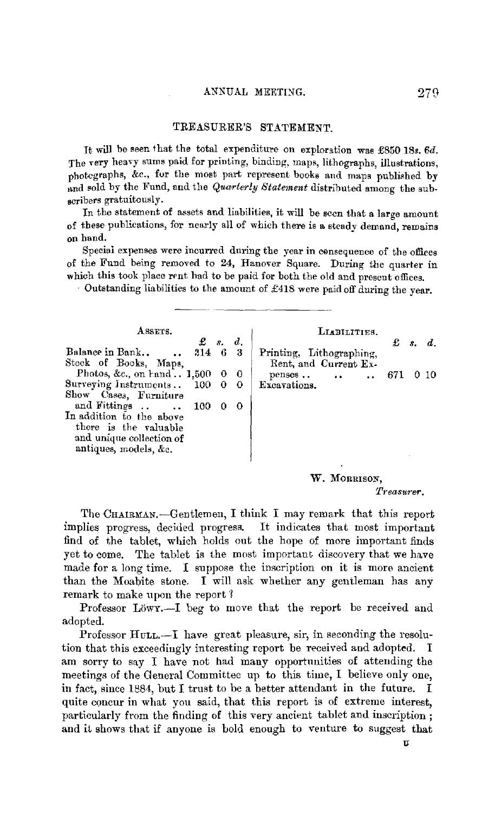### TREASURER'S STATEMENT.

It will be seen that the total expenditure on exploration was £850 18s. 6d. The very heavy sums paid for printing, binding, maps, lithographs, illustrations, photographs, &c., fur the most part represent books and maps publiehed by and sold by the Fund, and the *Quarterly Statement* distributed among the subscribers gratuitously.

In the statement of assets and liabilities, it will be seen that a large amount of these publications, for nearly all of which there is a steady demand, remains on band.

Special expenses were incurred during the year in consequence of the offices of the Fund being removed to 24, Hanover Square. During the quarter in which this took place rent had to be paid for both the old and present offices.

- Outstanding liabilities to the amount of £418 were paid off during the year.

| ASSETS.<br>$\pounds$ s. d.                  |   | LIABILITIES.<br>£<br>d.                       |  |
|---------------------------------------------|---|-----------------------------------------------|--|
| Balance in Bank<br>314 6 3                  |   | $\mathcal{R}_{-}$<br>Printing, Lithographing, |  |
| Stock of Books, Maps,                       |   | Rent, and Current Ex-                         |  |
| Photos, &c., on $\text{rand} \dots 1,500$ 0 |   |                                               |  |
| Surveying Instruments<br>100                | 0 | Excavations.                                  |  |
| Show Cases, Furniture                       |   |                                               |  |
| and Fittings<br>100                         |   |                                               |  |
| In addition to the above                    |   |                                               |  |
| there is the valuable                       |   |                                               |  |
| and unique collection of                    |   |                                               |  |
| antiques, models, &c.                       |   |                                               |  |
|                                             |   |                                               |  |

W. MORRISON,

The CHAIRMAN.-Gentlemen, I think I may remark that this report implies progress, decided progress. It indicates that most important find of the tablet, which holds out the hope of more important finds yet to come. The tablet is the most important discovery that we have made for a long time. I suppose the inscription on it is more ancient than the Moabite stone, I will ask whether any gentleman has any remark to make upon the report 1

Professor Löwy.--I beg to move that the report be received and adopted.

Professor  $H$ ULL. $-I$  have great pleasure, sir, in seconding the resolution that this exceedingly interesting report be received and adopted. I am sorry to say I have not had many opportunities of attending the meetings of the General Committee up to this time, I believe only one, in fact, since  $1884$ , but I trust to be a better attendant in the future. I quite concur in what you said, that this report is of extreme interest, particularly from the finding of this very ancient tablet and inscription ; and it shows that if anyone is bold enough to venture to suggest that

*Treasurer.*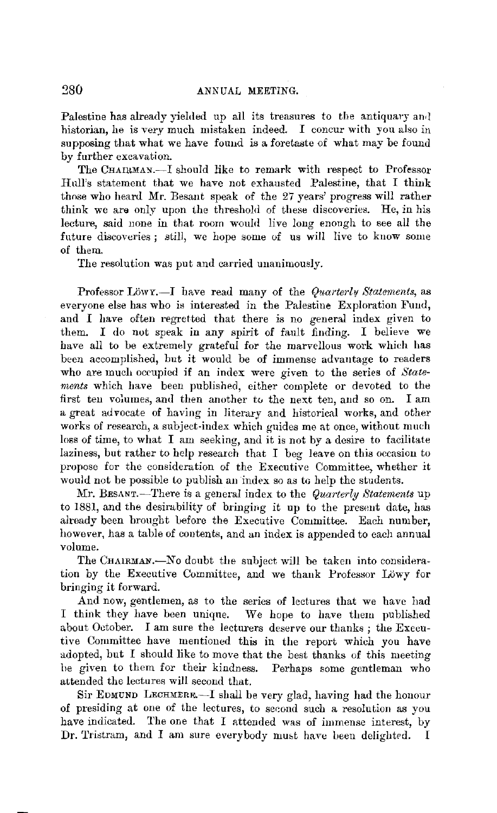Palestine has already yielded up all its treasures to the antiquary and historian, he is very much mistaken indeed. I concur with you also in supposing that what we have found is a foretaste of what may be found by further excavation.

The CHAIRMAY.-I should like to remark with respect to Professor Hull's statement that we have not exhausted Palestine, that I think those who heard Mr. Besant speak of the 27 years' progress will rather think we ara only upon the threshold of these discoveries. He, in his lecture, said none in that room would live long enongh to see all the future discoveries; still, we hope some of us will live to know some of them.

The resolution was put and carried unanimously.

Professor Löwy.<sup>-I</sup> have read many of the *Quarterly Statements*, as everyone else has who is interested in the Palestine Exploration Fund, and I have often regretted that there is no general index given to them. I do not speak in any spirit of fault finding. I believe we have all to be extremely grateful for the marvellous work which has been accomplished, but it would be of immense advantage to readers who are much occupied if an index were given to the series of *Statements* which have been published, either complete or devoted to the first ten volumes, and then another to the next ten, and so on. I am a great advocate of having in literary and historical works, and other works of research, a subject-index which guides me at once, without much loss of time, to what I am seeking, and it is not by a desire to facilitate laziness, but rather to help research that I beg leave on this occasion to propose for the consideration of the Executive Committee, whether it would not be possible to publish an index so as to help the students.

Mr. BESANT.-There is a general index to the *Quarterly Statements* up to 1881, and the desirability of bringing it up to the present date, has already been brought before the Executive Committee. Each number, however, has a table of contents, and an index is appended to each annual volume.

The CHAIRMAN.-No doubt the subject will be taken into consideration by the Executive Committee, and we thank Professor Lowy for bringing it forward.

And now, gentlemen, as to the series of lectures that we have had I think they have been unique. We hope to have them published about October. I am sure the lecturers deserve our thanks; the Executive Committee have mentioned this in the report which you have adopted, but I should like to move that the best thanks of this meeting he given to them for their kindness. Perhaps some gentleman who attended the lectures will second that.

Sir EDMUND LECHMERE.-I shall be very glad, having had the honour of presiding at one of the lectures, to second such a resolution as you have indicated. The one that I attended was of immense interest, by Dr. Tristram, and I am sure everybody must have been delighted. I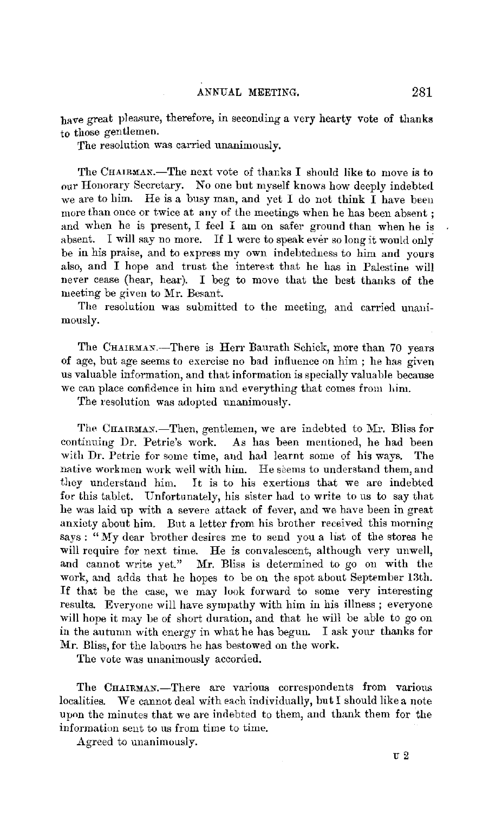have great pleasure, therefore, in seconding a very hearty vote of thanks to those gentlemen.

The resolution was carried unanimously.

The CHAIRMAN.—The next vote of thanks I should like to move is to our Honorary Secretary. No one but myself knows how deeply indebted we are to him. He is a busy man, and yet I do not think I have been more than once or twice at any of the meetings when he has been absent ; and when he is present, I feel I am on safer ground than when he is absent. I will say no more. If 1 were to speak ever so long it would only be in his praise, and to express my own indebtedness to him and yours also, and I hope and trust the interest that he has in Palestine will never cease (hear, hear). I beg to move that the best thanks of the meeting be given to Mr. Besant.

The resolution was submitted to the meeting, and carried unanimously.

The CHAIRMAN.-There is Herr Baurath Schick, more than 70 years of age, but age seems to exercise no bad influence on him ; he has given us valuable information, and that information is specially valuable because we can place confidence in him and everything that comes from him.

The resolution was adopted unanimously.

The CHAIRMAN.-Then, gentlemen, we are indebted to Mr. Bliss for continuing Dr. Petrie's work. As has been mentioned, he had been with Dr. Petrie for some time, and had learnt some of his ways. The native workmen work well with him. He seems to understand them, and they understand him, It is to his exertions that we are indebted for this tablet. Unfortunately, his sister had to write to us to say that he was laid up with a severe attack of fever, and we have been in great anxiety about him. Ent a letter from his brother received this morning says : "My dear brother desires me to send you a list of the stores he will require for next time. He is convalescent, although very unwell, and cannot write yet." Mr. Bliss is determined to go on with the work, and adds that he hopes to be on the spot about September 13th. If that be the case, we may look forward to some very interesting results. Everyone will have sympathy with him in his illness ; everyone will hope it may be of short duration, and that he will be able to go on in the autumn with energy in what he has begun. I ask your thanks for Mr. Bliss, for the labours he has bestowed on the work.

The vote was unanimously accorded.

The CHAIRMAN.-There are various correspondents from various localities. We cannot deal with each individually, but I should like a note upon the minutes that we are indebted to them, and thank them for the information sent to us from time to time.

Agreed to unanimously.